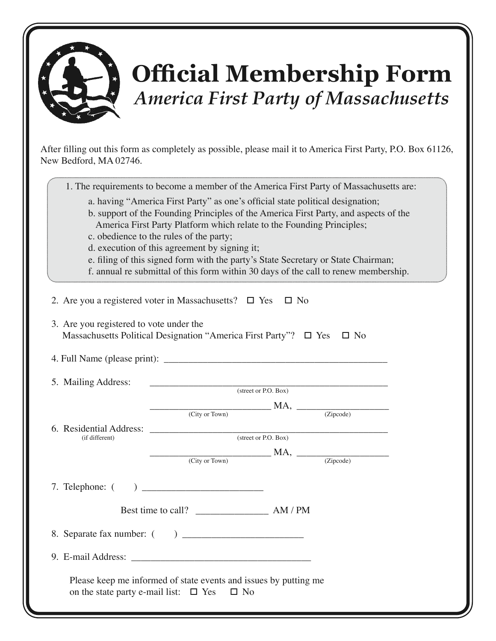

## **Official Membership Form** *America First Party of Massachusetts*

After filling out this form as completely as possible, please mail it to America First Party, P.O. Box 61126, New Bedford, MA 02746.

| 1. The requirements to become a member of the America First Party of Massachusetts are: |
|-----------------------------------------------------------------------------------------|
|-----------------------------------------------------------------------------------------|

- a. having "America First Party" as one's official state political designation;
- b. support of the Founding Principles of the America First Party, and aspects of the America First Party Platform which relate to the Founding Principles;
- c. obedience to the rules of the party;
- d. execution of this agreement by signing it;
- e. filing of this signed form with the party's State Secretary or State Chairman;
- f. annual re submittal of this form within 30 days of the call to renew membership.

| 2. Are you a registered voter in Massachusetts? $\Box$ Yes $\Box$ No |                                                                               |  |  |  |  |
|----------------------------------------------------------------------|-------------------------------------------------------------------------------|--|--|--|--|
| 3. Are you registered to vote under the                              | Massachusetts Political Designation "America First Party"? □ Yes □ No         |  |  |  |  |
|                                                                      |                                                                               |  |  |  |  |
| 5. Mailing Address:<br>(street or P.O. Box)                          |                                                                               |  |  |  |  |
| 6. Residential Address: (street or P.O. Box)                         | $MA,$ $\overline{\text{CIity or Town}}$ $MA,$ $\overline{\text{CIipcode}}$    |  |  |  |  |
|                                                                      |                                                                               |  |  |  |  |
|                                                                      | $M A$ , $\frac{M A}{\text{(Zipcode)}}$                                        |  |  |  |  |
|                                                                      |                                                                               |  |  |  |  |
|                                                                      |                                                                               |  |  |  |  |
|                                                                      |                                                                               |  |  |  |  |
|                                                                      |                                                                               |  |  |  |  |
| on the state party e-mail list: $\Box$ Yes                           | Please keep me informed of state events and issues by putting me<br>$\Box$ No |  |  |  |  |